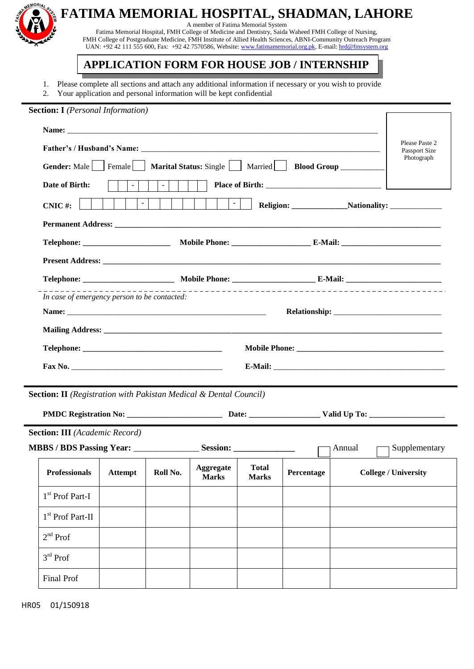

## **FATIMA MEMORIAL HOSPITAL, SHADMAN, LAHORE** A member of Fatima Memorial System

Fatima Memorial Hospital, FMH College of Medicine and Dentistry, Saida Waheed FMH College of Nursing, FMH College of Postgraduate Medicine, FMH Institute of Allied Health Sciences, ABNI-Community Outreach Program UAN: +92 42 111 555 600, Fax: +92 42 7570586, Website: [www.fatimamemorial.org.pk,](http://www.fatimamemorial.org.pk/) E-mail[: hrd@fmsystem.org](mailto:hrd@fmsystem.org)

# **APPLICATION FORM FOR HOUSE JOB / INTERNSHIP**

- 1. Please complete all sections and attach any additional information if necessary or you wish to provide
- 2. Your application and personal information will be kept confidential

| <b>Section: I</b> (Personal Information)                                 |                                                                                                   |                 |                                  |                              |                                                         |  |                             |  |  |
|--------------------------------------------------------------------------|---------------------------------------------------------------------------------------------------|-----------------|----------------------------------|------------------------------|---------------------------------------------------------|--|-----------------------------|--|--|
|                                                                          |                                                                                                   |                 |                                  |                              |                                                         |  |                             |  |  |
|                                                                          | Please Paste 2<br>Passport Size                                                                   |                 |                                  |                              |                                                         |  |                             |  |  |
| Gender: Male                                                             |                                                                                                   |                 |                                  |                              | Female   Marital Status: Single   Married   Blood Group |  | Photograph                  |  |  |
| Date of Birth:                                                           | $-1$                                                                                              | $\vert - \vert$ |                                  |                              |                                                         |  |                             |  |  |
| CNIC#:                                                                   | $\omega$                                                                                          |                 | $\mathcal{L}_{\mathcal{A}}$      |                              |                                                         |  | Religion: Nationality:      |  |  |
|                                                                          |                                                                                                   |                 |                                  |                              |                                                         |  |                             |  |  |
|                                                                          |                                                                                                   |                 |                                  |                              |                                                         |  |                             |  |  |
|                                                                          |                                                                                                   |                 |                                  |                              |                                                         |  |                             |  |  |
|                                                                          |                                                                                                   |                 |                                  |                              |                                                         |  |                             |  |  |
|                                                                          | In case of emergency person to be contacted:                                                      |                 |                                  |                              |                                                         |  |                             |  |  |
|                                                                          |                                                                                                   |                 |                                  |                              |                                                         |  |                             |  |  |
|                                                                          |                                                                                                   |                 |                                  |                              |                                                         |  |                             |  |  |
|                                                                          |                                                                                                   |                 |                                  |                              |                                                         |  |                             |  |  |
|                                                                          |                                                                                                   |                 |                                  |                              |                                                         |  |                             |  |  |
| <b>Section: II</b> (Registration with Pakistan Medical & Dental Council) |                                                                                                   |                 |                                  |                              |                                                         |  |                             |  |  |
|                                                                          |                                                                                                   |                 |                                  |                              |                                                         |  |                             |  |  |
| <b>Section: III</b> (Academic Record)                                    |                                                                                                   |                 |                                  |                              |                                                         |  |                             |  |  |
|                                                                          |                                                                                                   |                 |                                  |                              | Annual                                                  |  | Supplementary               |  |  |
| <b>Professionals</b>                                                     | the contract of the contract of the contract of the contract of the contract of<br><b>Attempt</b> | Roll No.        | <b>Aggregate</b><br><b>Marks</b> | <b>Total</b><br><b>Marks</b> | Percentage                                              |  | <b>College / University</b> |  |  |
| 1 <sup>st</sup> Prof Part-I                                              |                                                                                                   |                 |                                  |                              |                                                         |  |                             |  |  |
| 1 <sup>st</sup> Prof Part-II                                             |                                                                                                   |                 |                                  |                              |                                                         |  |                             |  |  |
| $2nd$ Prof                                                               |                                                                                                   |                 |                                  |                              |                                                         |  |                             |  |  |
| $3rd$ Prof                                                               |                                                                                                   |                 |                                  |                              |                                                         |  |                             |  |  |
| Final Prof                                                               |                                                                                                   |                 |                                  |                              |                                                         |  |                             |  |  |